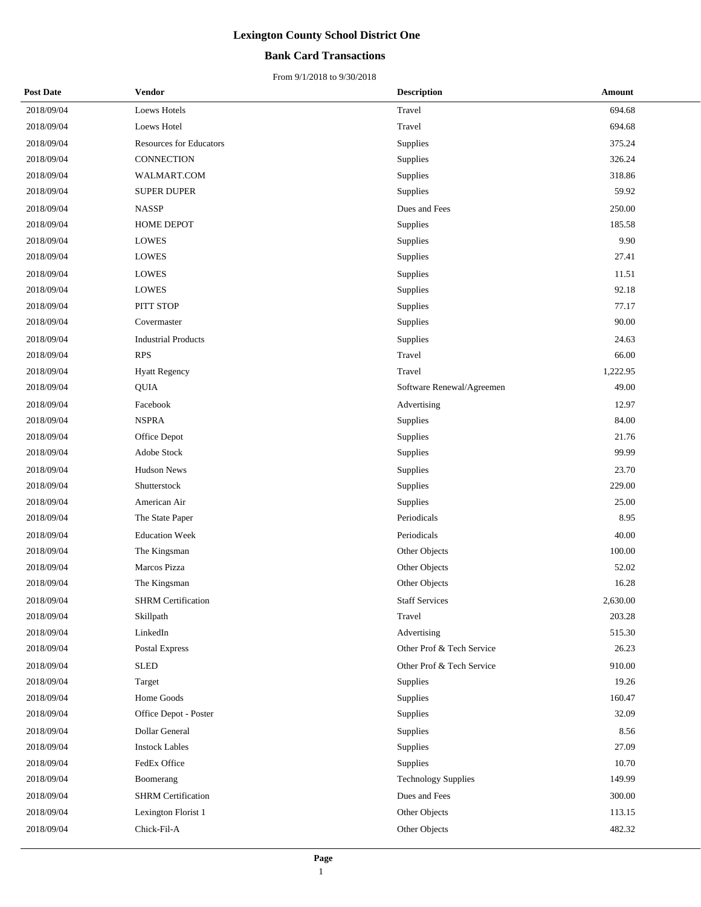### **Bank Card Transactions**

| <b>Post Date</b> | <b>Vendor</b>                  | <b>Description</b>        | Amount   |  |
|------------------|--------------------------------|---------------------------|----------|--|
| 2018/09/04       | <b>Loews Hotels</b>            | Travel                    | 694.68   |  |
| 2018/09/04       | Loews Hotel                    | Travel                    | 694.68   |  |
| 2018/09/04       | <b>Resources for Educators</b> | Supplies                  | 375.24   |  |
| 2018/09/04       | CONNECTION                     | Supplies                  | 326.24   |  |
| 2018/09/04       | WALMART.COM                    | Supplies                  | 318.86   |  |
| 2018/09/04       | <b>SUPER DUPER</b>             | Supplies                  | 59.92    |  |
| 2018/09/04       | <b>NASSP</b>                   | Dues and Fees             | 250.00   |  |
| 2018/09/04       | HOME DEPOT                     | Supplies                  | 185.58   |  |
| 2018/09/04       | <b>LOWES</b>                   | Supplies                  | 9.90     |  |
| 2018/09/04       | LOWES                          | Supplies                  | 27.41    |  |
| 2018/09/04       | LOWES                          | Supplies                  | 11.51    |  |
| 2018/09/04       | <b>LOWES</b>                   | Supplies                  | 92.18    |  |
| 2018/09/04       | PITT STOP                      | Supplies                  | 77.17    |  |
| 2018/09/04       | Covermaster                    | Supplies                  | 90.00    |  |
| 2018/09/04       | <b>Industrial Products</b>     | Supplies                  | 24.63    |  |
| 2018/09/04       | <b>RPS</b>                     | Travel                    | 66.00    |  |
| 2018/09/04       | <b>Hyatt Regency</b>           | Travel                    | 1,222.95 |  |
| 2018/09/04       | <b>QUIA</b>                    | Software Renewal/Agreemen | 49.00    |  |
| 2018/09/04       | Facebook                       | Advertising               | 12.97    |  |
| 2018/09/04       | <b>NSPRA</b>                   | Supplies                  | 84.00    |  |
| 2018/09/04       | Office Depot                   | Supplies                  | 21.76    |  |
| 2018/09/04       | Adobe Stock                    | Supplies                  | 99.99    |  |
| 2018/09/04       | <b>Hudson News</b>             | Supplies                  | 23.70    |  |
| 2018/09/04       | Shutterstock                   | Supplies                  | 229.00   |  |
| 2018/09/04       | American Air                   | Supplies                  | 25.00    |  |
| 2018/09/04       | The State Paper                | Periodicals               | 8.95     |  |
| 2018/09/04       | <b>Education Week</b>          | Periodicals               | 40.00    |  |
| 2018/09/04       | The Kingsman                   | Other Objects             | 100.00   |  |
| 2018/09/04       | Marcos Pizza                   | Other Objects             | 52.02    |  |
| 2018/09/04       | The Kingsman                   | Other Objects             | 16.28    |  |
| 2018/09/04       | <b>SHRM</b> Certification      | <b>Staff Services</b>     | 2,630.00 |  |
| 2018/09/04       | Skillpath                      | Travel                    | 203.28   |  |
| 2018/09/04       | LinkedIn                       | Advertising               | 515.30   |  |
| 2018/09/04       | Postal Express                 | Other Prof & Tech Service | 26.23    |  |
| 2018/09/04       | <b>SLED</b>                    | Other Prof & Tech Service | 910.00   |  |
| 2018/09/04       | Target                         | Supplies                  | 19.26    |  |
| 2018/09/04       | Home Goods                     | Supplies                  | 160.47   |  |
| 2018/09/04       | Office Depot - Poster          | Supplies                  | 32.09    |  |
| 2018/09/04       | Dollar General                 | Supplies                  | 8.56     |  |
| 2018/09/04       | <b>Instock Lables</b>          | Supplies                  | 27.09    |  |
| 2018/09/04       | FedEx Office                   | Supplies                  | 10.70    |  |
| 2018/09/04       | Boomerang                      | Technology Supplies       | 149.99   |  |
| 2018/09/04       | <b>SHRM</b> Certification      | Dues and Fees             | 300.00   |  |
| 2018/09/04       | Lexington Florist 1            | Other Objects             | 113.15   |  |
| 2018/09/04       | Chick-Fil-A                    | Other Objects             | 482.32   |  |
|                  |                                |                           |          |  |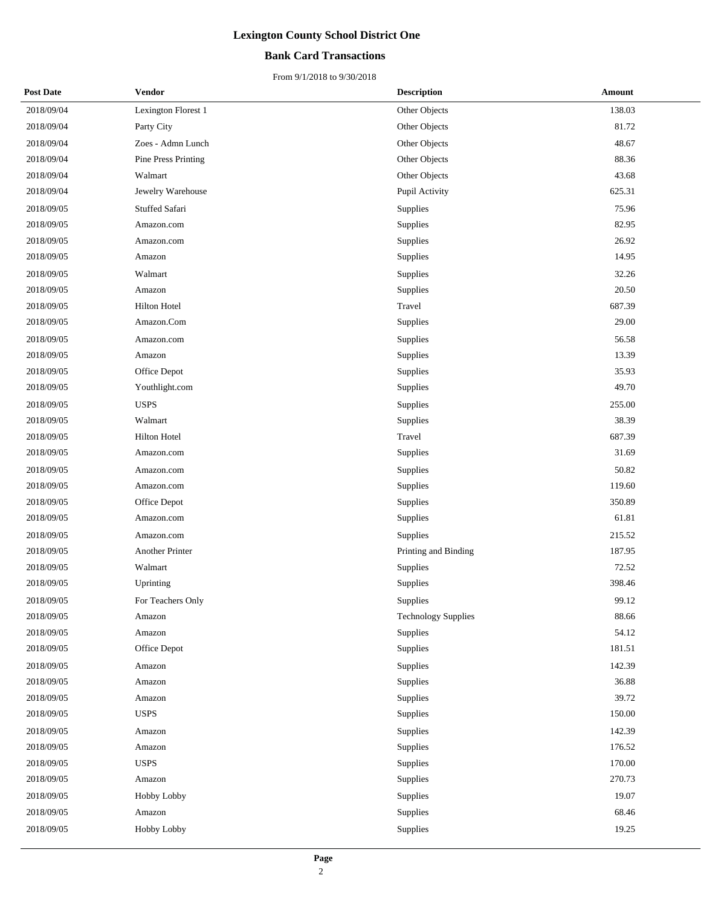### **Bank Card Transactions**

| <b>Post Date</b> | <b>Vendor</b>       | <b>Description</b>         | Amount |
|------------------|---------------------|----------------------------|--------|
| 2018/09/04       | Lexington Florest 1 | Other Objects              | 138.03 |
| 2018/09/04       | Party City          | Other Objects              | 81.72  |
| 2018/09/04       | Zoes - Admn Lunch   | Other Objects              | 48.67  |
| 2018/09/04       | Pine Press Printing | Other Objects              | 88.36  |
| 2018/09/04       | Walmart             | Other Objects              | 43.68  |
| 2018/09/04       | Jewelry Warehouse   | Pupil Activity             | 625.31 |
| 2018/09/05       | Stuffed Safari      | Supplies                   | 75.96  |
| 2018/09/05       | Amazon.com          | Supplies                   | 82.95  |
| 2018/09/05       | Amazon.com          | Supplies                   | 26.92  |
| 2018/09/05       | Amazon              | Supplies                   | 14.95  |
| 2018/09/05       | Walmart             | Supplies                   | 32.26  |
| 2018/09/05       | Amazon              | Supplies                   | 20.50  |
| 2018/09/05       | Hilton Hotel        | Travel                     | 687.39 |
| 2018/09/05       | Amazon.Com          | Supplies                   | 29.00  |
| 2018/09/05       | Amazon.com          | Supplies                   | 56.58  |
| 2018/09/05       | Amazon              | Supplies                   | 13.39  |
| 2018/09/05       | Office Depot        | Supplies                   | 35.93  |
| 2018/09/05       | Youthlight.com      | Supplies                   | 49.70  |
| 2018/09/05       | <b>USPS</b>         | Supplies                   | 255.00 |
| 2018/09/05       | Walmart             | Supplies                   | 38.39  |
| 2018/09/05       | Hilton Hotel        | Travel                     | 687.39 |
| 2018/09/05       | Amazon.com          | Supplies                   | 31.69  |
| 2018/09/05       | Amazon.com          | Supplies                   | 50.82  |
| 2018/09/05       | Amazon.com          | Supplies                   | 119.60 |
| 2018/09/05       | Office Depot        | Supplies                   | 350.89 |
| 2018/09/05       | Amazon.com          | Supplies                   | 61.81  |
| 2018/09/05       | Amazon.com          | Supplies                   | 215.52 |
| 2018/09/05       | Another Printer     | Printing and Binding       | 187.95 |
| 2018/09/05       | Walmart             | Supplies                   | 72.52  |
| 2018/09/05       | Uprinting           | Supplies                   | 398.46 |
| 2018/09/05       | For Teachers Only   | Supplies                   | 99.12  |
| 2018/09/05       | Amazon              | <b>Technology Supplies</b> | 88.66  |
| 2018/09/05       | Amazon              | Supplies                   | 54.12  |
| 2018/09/05       | Office Depot        | Supplies                   | 181.51 |
| 2018/09/05       | Amazon              | Supplies                   | 142.39 |
| 2018/09/05       | Amazon              | Supplies                   | 36.88  |
| 2018/09/05       | Amazon              | Supplies                   | 39.72  |
| 2018/09/05       | <b>USPS</b>         | Supplies                   | 150.00 |
| 2018/09/05       | Amazon              | Supplies                   | 142.39 |
| 2018/09/05       | Amazon              | Supplies                   | 176.52 |
| 2018/09/05       | <b>USPS</b>         | Supplies                   | 170.00 |
| 2018/09/05       | Amazon              | Supplies                   | 270.73 |
| 2018/09/05       | Hobby Lobby         | Supplies                   | 19.07  |
| 2018/09/05       | Amazon              | Supplies                   | 68.46  |
| 2018/09/05       | Hobby Lobby         | Supplies                   | 19.25  |
|                  |                     |                            |        |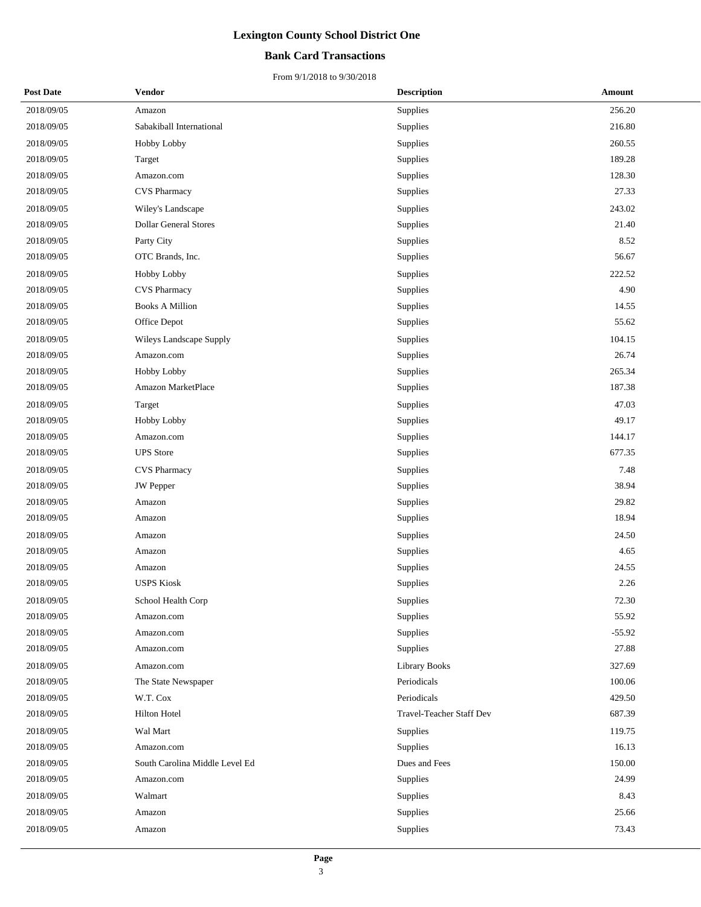### **Bank Card Transactions**

| <b>Post Date</b> | <b>Vendor</b>                  | <b>Description</b>       | Amount   |
|------------------|--------------------------------|--------------------------|----------|
| 2018/09/05       | Amazon                         | Supplies                 | 256.20   |
| 2018/09/05       | Sabakiball International       | Supplies                 | 216.80   |
| 2018/09/05       | Hobby Lobby                    | Supplies                 | 260.55   |
| 2018/09/05       | Target                         | Supplies                 | 189.28   |
| 2018/09/05       | Amazon.com                     | Supplies                 | 128.30   |
| 2018/09/05       | <b>CVS</b> Pharmacy            | Supplies                 | 27.33    |
| 2018/09/05       | Wiley's Landscape              | Supplies                 | 243.02   |
| 2018/09/05       | <b>Dollar General Stores</b>   | Supplies                 | 21.40    |
| 2018/09/05       | Party City                     | Supplies                 | 8.52     |
| 2018/09/05       | OTC Brands, Inc.               | Supplies                 | 56.67    |
| 2018/09/05       | Hobby Lobby                    | Supplies                 | 222.52   |
| 2018/09/05       | <b>CVS</b> Pharmacy            | Supplies                 | 4.90     |
| 2018/09/05       | <b>Books A Million</b>         | Supplies                 | 14.55    |
| 2018/09/05       | Office Depot                   | Supplies                 | 55.62    |
| 2018/09/05       | Wileys Landscape Supply        | Supplies                 | 104.15   |
| 2018/09/05       | Amazon.com                     | Supplies                 | 26.74    |
| 2018/09/05       | Hobby Lobby                    | Supplies                 | 265.34   |
| 2018/09/05       | Amazon MarketPlace             | Supplies                 | 187.38   |
| 2018/09/05       | Target                         | Supplies                 | 47.03    |
| 2018/09/05       | Hobby Lobby                    | Supplies                 | 49.17    |
| 2018/09/05       | Amazon.com                     | Supplies                 | 144.17   |
| 2018/09/05       | <b>UPS</b> Store               | Supplies                 | 677.35   |
| 2018/09/05       | <b>CVS</b> Pharmacy            | Supplies                 | 7.48     |
| 2018/09/05       | <b>JW</b> Pepper               | Supplies                 | 38.94    |
| 2018/09/05       | Amazon                         | Supplies                 | 29.82    |
| 2018/09/05       | Amazon                         | Supplies                 | 18.94    |
| 2018/09/05       | Amazon                         | Supplies                 | 24.50    |
| 2018/09/05       | Amazon                         | Supplies                 | 4.65     |
| 2018/09/05       | Amazon                         | Supplies                 | 24.55    |
| 2018/09/05       | <b>USPS Kiosk</b>              | Supplies                 | 2.26     |
| 2018/09/05       | School Health Corp             | Supplies                 | 72.30    |
| 2018/09/05       | Amazon.com                     | Supplies                 | 55.92    |
| 2018/09/05       | Amazon.com                     | Supplies                 | $-55.92$ |
| 2018/09/05       | Amazon.com                     | Supplies                 | 27.88    |
| 2018/09/05       | Amazon.com                     | <b>Library Books</b>     | 327.69   |
| 2018/09/05       | The State Newspaper            | Periodicals              | 100.06   |
| 2018/09/05       | W.T. Cox                       | Periodicals              | 429.50   |
| 2018/09/05       | <b>Hilton Hotel</b>            | Travel-Teacher Staff Dev | 687.39   |
| 2018/09/05       | Wal Mart                       | Supplies                 | 119.75   |
| 2018/09/05       | Amazon.com                     | Supplies                 | 16.13    |
| 2018/09/05       | South Carolina Middle Level Ed | Dues and Fees            | 150.00   |
| 2018/09/05       | Amazon.com                     | Supplies                 | 24.99    |
| 2018/09/05       | Walmart                        | Supplies                 | 8.43     |
| 2018/09/05       | Amazon                         | Supplies                 | 25.66    |
| 2018/09/05       | Amazon                         | Supplies                 | 73.43    |
|                  |                                |                          |          |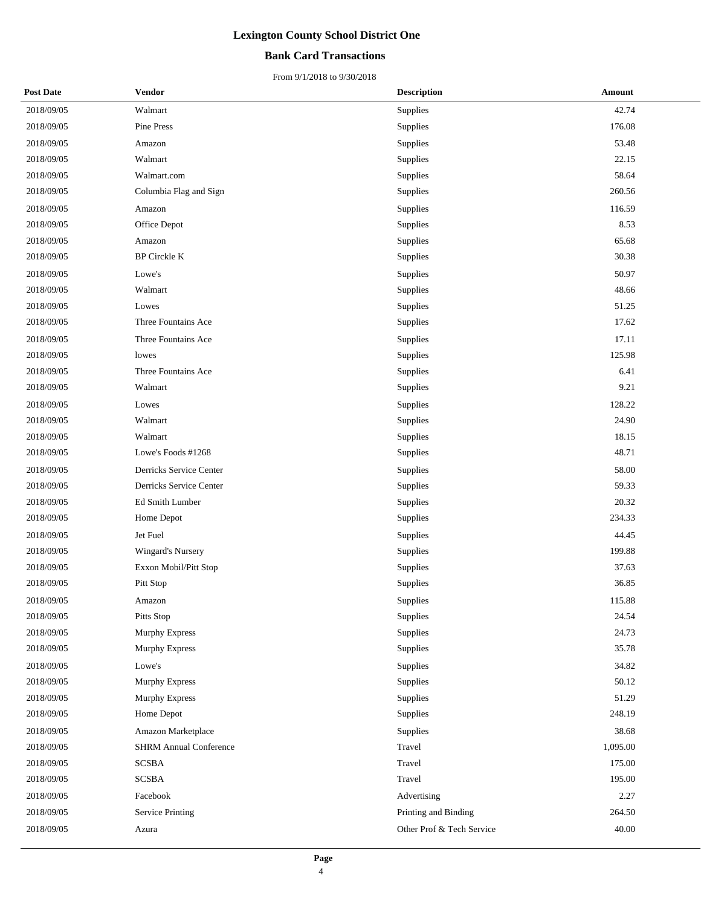## **Bank Card Transactions**

| <b>Post Date</b> | <b>Vendor</b>                 | <b>Description</b>        | Amount   |
|------------------|-------------------------------|---------------------------|----------|
| 2018/09/05       | Walmart                       | Supplies                  | 42.74    |
| 2018/09/05       | Pine Press                    | Supplies                  | 176.08   |
| 2018/09/05       | Amazon                        | Supplies                  | 53.48    |
| 2018/09/05       | Walmart                       | Supplies                  | 22.15    |
| 2018/09/05       | Walmart.com                   | Supplies                  | 58.64    |
| 2018/09/05       | Columbia Flag and Sign        | Supplies                  | 260.56   |
| 2018/09/05       | Amazon                        | Supplies                  | 116.59   |
| 2018/09/05       | Office Depot                  | Supplies                  | 8.53     |
| 2018/09/05       | Amazon                        | Supplies                  | 65.68    |
| 2018/09/05       | <b>BP</b> Circkle K           | Supplies                  | 30.38    |
| 2018/09/05       | Lowe's                        | Supplies                  | 50.97    |
| 2018/09/05       | Walmart                       | Supplies                  | 48.66    |
| 2018/09/05       | Lowes                         | Supplies                  | 51.25    |
| 2018/09/05       | Three Fountains Ace           | Supplies                  | 17.62    |
| 2018/09/05       | Three Fountains Ace           | Supplies                  | 17.11    |
| 2018/09/05       | lowes                         | Supplies                  | 125.98   |
| 2018/09/05       | Three Fountains Ace           | Supplies                  | 6.41     |
| 2018/09/05       | Walmart                       | Supplies                  | 9.21     |
| 2018/09/05       | Lowes                         | Supplies                  | 128.22   |
| 2018/09/05       | Walmart                       | Supplies                  | 24.90    |
| 2018/09/05       | Walmart                       | Supplies                  | 18.15    |
| 2018/09/05       | Lowe's Foods #1268            | Supplies                  | 48.71    |
| 2018/09/05       | Derricks Service Center       | Supplies                  | 58.00    |
| 2018/09/05       | Derricks Service Center       | Supplies                  | 59.33    |
| 2018/09/05       | Ed Smith Lumber               | Supplies                  | 20.32    |
| 2018/09/05       | Home Depot                    | Supplies                  | 234.33   |
| 2018/09/05       | Jet Fuel                      | Supplies                  | 44.45    |
| 2018/09/05       | Wingard's Nursery             | Supplies                  | 199.88   |
| 2018/09/05       | Exxon Mobil/Pitt Stop         | Supplies                  | 37.63    |
| 2018/09/05       | Pitt Stop                     | Supplies                  | 36.85    |
| 2018/09/05       | Amazon                        | Supplies                  | 115.88   |
| 2018/09/05       | Pitts Stop                    | Supplies                  | 24.54    |
| 2018/09/05       | <b>Murphy Express</b>         | Supplies                  | 24.73    |
| 2018/09/05       | <b>Murphy Express</b>         | Supplies                  | 35.78    |
| 2018/09/05       | Lowe's                        | Supplies                  | 34.82    |
| 2018/09/05       | <b>Murphy Express</b>         | Supplies                  | 50.12    |
| 2018/09/05       | <b>Murphy Express</b>         | Supplies                  | 51.29    |
| 2018/09/05       | Home Depot                    | Supplies                  | 248.19   |
| 2018/09/05       | Amazon Marketplace            | Supplies                  | 38.68    |
| 2018/09/05       | <b>SHRM Annual Conference</b> | Travel                    | 1,095.00 |
| 2018/09/05       | <b>SCSBA</b>                  | Travel                    | 175.00   |
| 2018/09/05       | <b>SCSBA</b>                  | Travel                    | 195.00   |
| 2018/09/05       | Facebook                      | Advertising               | 2.27     |
| 2018/09/05       | <b>Service Printing</b>       | Printing and Binding      | 264.50   |
| 2018/09/05       | Azura                         | Other Prof & Tech Service | 40.00    |
|                  |                               |                           |          |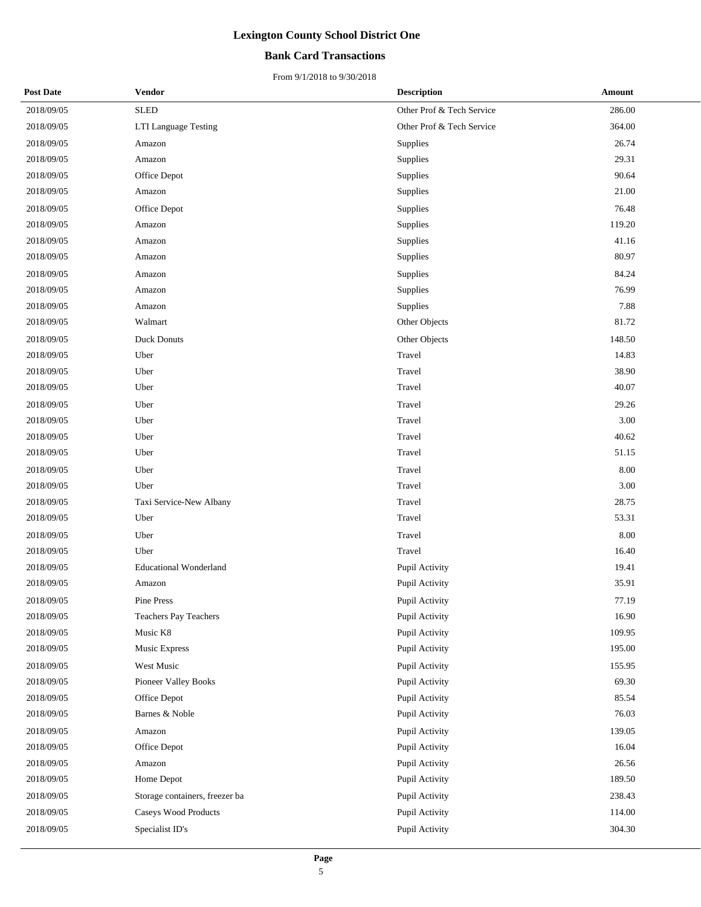## **Bank Card Transactions**

| <b>Post Date</b> | <b>Vendor</b>                  | <b>Description</b>        | Amount |
|------------------|--------------------------------|---------------------------|--------|
| 2018/09/05       | <b>SLED</b>                    | Other Prof & Tech Service | 286.00 |
| 2018/09/05       | LTI Language Testing           | Other Prof & Tech Service | 364.00 |
| 2018/09/05       | Amazon                         | Supplies                  | 26.74  |
| 2018/09/05       | Amazon                         | Supplies                  | 29.31  |
| 2018/09/05       | Office Depot                   | Supplies                  | 90.64  |
| 2018/09/05       | Amazon                         | Supplies                  | 21.00  |
| 2018/09/05       | Office Depot                   | Supplies                  | 76.48  |
| 2018/09/05       | Amazon                         | Supplies                  | 119.20 |
| 2018/09/05       | Amazon                         | Supplies                  | 41.16  |
| 2018/09/05       | Amazon                         | Supplies                  | 80.97  |
| 2018/09/05       | Amazon                         | Supplies                  | 84.24  |
| 2018/09/05       | Amazon                         | Supplies                  | 76.99  |
| 2018/09/05       | Amazon                         | Supplies                  | 7.88   |
| 2018/09/05       | Walmart                        | Other Objects             | 81.72  |
| 2018/09/05       | <b>Duck Donuts</b>             | Other Objects             | 148.50 |
| 2018/09/05       | Uber                           | Travel                    | 14.83  |
| 2018/09/05       | Uber                           | Travel                    | 38.90  |
| 2018/09/05       | Uber                           | Travel                    | 40.07  |
| 2018/09/05       | Uber                           | Travel                    | 29.26  |
| 2018/09/05       | Uber                           | Travel                    | 3.00   |
| 2018/09/05       | Uber                           | Travel                    | 40.62  |
| 2018/09/05       | Uber                           | Travel                    | 51.15  |
| 2018/09/05       | Uber                           | Travel                    | 8.00   |
| 2018/09/05       | Uber                           | Travel                    | 3.00   |
| 2018/09/05       | Taxi Service-New Albany        | Travel                    | 28.75  |
| 2018/09/05       | Uber                           | Travel                    | 53.31  |
| 2018/09/05       | Uber                           | Travel                    | 8.00   |
| 2018/09/05       | Uber                           | Travel                    | 16.40  |
| 2018/09/05       | <b>Educational Wonderland</b>  | Pupil Activity            | 19.41  |
| 2018/09/05       | Amazon                         | Pupil Activity            | 35.91  |
| 2018/09/05       | Pine Press                     | Pupil Activity            | 77.19  |
| 2018/09/05       | Teachers Pay Teachers          | Pupil Activity            | 16.90  |
| 2018/09/05       | Music K8                       | Pupil Activity            | 109.95 |
| 2018/09/05       | Music Express                  | Pupil Activity            | 195.00 |
| 2018/09/05       | West Music                     | Pupil Activity            | 155.95 |
| 2018/09/05       | Pioneer Valley Books           | Pupil Activity            | 69.30  |
| 2018/09/05       | Office Depot                   | Pupil Activity            | 85.54  |
| 2018/09/05       | Barnes & Noble                 | Pupil Activity            | 76.03  |
| 2018/09/05       | Amazon                         | Pupil Activity            | 139.05 |
| 2018/09/05       | Office Depot                   | Pupil Activity            | 16.04  |
| 2018/09/05       | Amazon                         | Pupil Activity            | 26.56  |
| 2018/09/05       | Home Depot                     | Pupil Activity            | 189.50 |
| 2018/09/05       | Storage containers, freezer ba | Pupil Activity            | 238.43 |
| 2018/09/05       | Caseys Wood Products           | Pupil Activity            | 114.00 |
| 2018/09/05       | Specialist ID's                | Pupil Activity            | 304.30 |
|                  |                                |                           |        |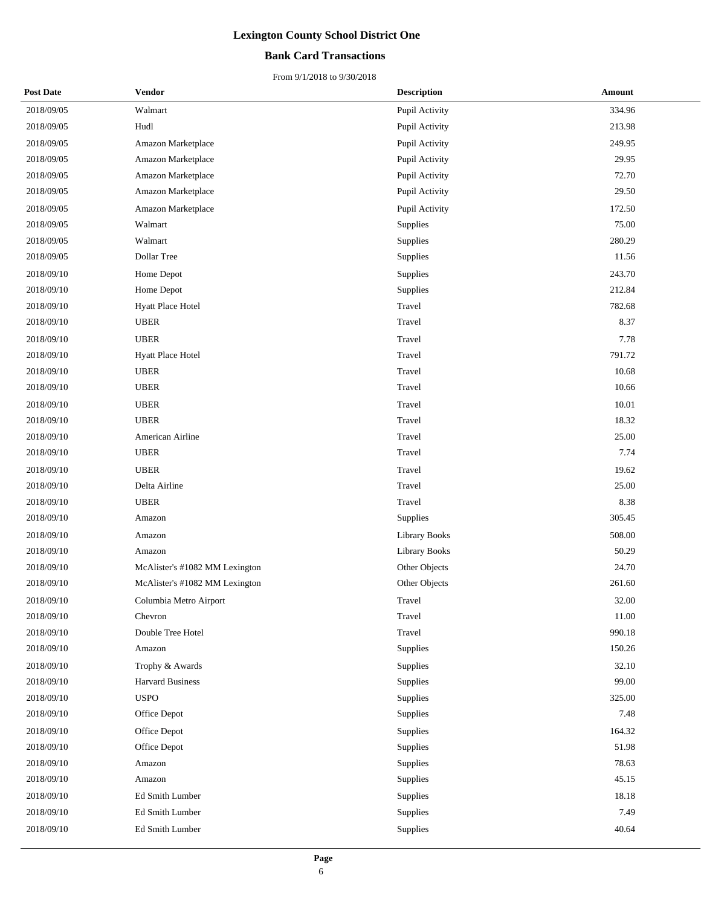## **Bank Card Transactions**

| <b>Post Date</b> | <b>Vendor</b>                  | <b>Description</b>   | Amount |
|------------------|--------------------------------|----------------------|--------|
| 2018/09/05       | Walmart                        | Pupil Activity       | 334.96 |
| 2018/09/05       | Hudl                           | Pupil Activity       | 213.98 |
| 2018/09/05       | Amazon Marketplace             | Pupil Activity       | 249.95 |
| 2018/09/05       | Amazon Marketplace             | Pupil Activity       | 29.95  |
| 2018/09/05       | Amazon Marketplace             | Pupil Activity       | 72.70  |
| 2018/09/05       | Amazon Marketplace             | Pupil Activity       | 29.50  |
| 2018/09/05       | Amazon Marketplace             | Pupil Activity       | 172.50 |
| 2018/09/05       | Walmart                        | Supplies             | 75.00  |
| 2018/09/05       | Walmart                        | Supplies             | 280.29 |
| 2018/09/05       | Dollar Tree                    | Supplies             | 11.56  |
| 2018/09/10       | Home Depot                     | Supplies             | 243.70 |
| 2018/09/10       | Home Depot                     | Supplies             | 212.84 |
| 2018/09/10       | Hyatt Place Hotel              | Travel               | 782.68 |
| 2018/09/10       | <b>UBER</b>                    | Travel               | 8.37   |
| 2018/09/10       | <b>UBER</b>                    | Travel               | 7.78   |
| 2018/09/10       | Hyatt Place Hotel              | Travel               | 791.72 |
| 2018/09/10       | <b>UBER</b>                    | Travel               | 10.68  |
| 2018/09/10       | <b>UBER</b>                    | Travel               | 10.66  |
| 2018/09/10       | <b>UBER</b>                    | Travel               | 10.01  |
| 2018/09/10       | <b>UBER</b>                    | Travel               | 18.32  |
| 2018/09/10       | American Airline               | Travel               | 25.00  |
| 2018/09/10       | <b>UBER</b>                    | Travel               | 7.74   |
| 2018/09/10       | <b>UBER</b>                    | Travel               | 19.62  |
| 2018/09/10       | Delta Airline                  | Travel               | 25.00  |
| 2018/09/10       | <b>UBER</b>                    | Travel               | 8.38   |
| 2018/09/10       | Amazon                         | Supplies             | 305.45 |
| 2018/09/10       | Amazon                         | <b>Library Books</b> | 508.00 |
| 2018/09/10       | Amazon                         | <b>Library Books</b> | 50.29  |
| 2018/09/10       | McAlister's #1082 MM Lexington | Other Objects        | 24.70  |
| 2018/09/10       | McAlister's #1082 MM Lexington | Other Objects        | 261.60 |
| 2018/09/10       | Columbia Metro Airport         | Travel               | 32.00  |
| 2018/09/10       | Chevron                        | Travel               | 11.00  |
| 2018/09/10       | Double Tree Hotel              | Travel               | 990.18 |
| 2018/09/10       | Amazon                         | Supplies             | 150.26 |
| 2018/09/10       | Trophy & Awards                | Supplies             | 32.10  |
| 2018/09/10       | <b>Harvard Business</b>        | Supplies             | 99.00  |
| 2018/09/10       | <b>USPO</b>                    | Supplies             | 325.00 |
| 2018/09/10       | Office Depot                   | Supplies             | 7.48   |
| 2018/09/10       | Office Depot                   | Supplies             | 164.32 |
| 2018/09/10       | Office Depot                   | Supplies             | 51.98  |
| 2018/09/10       | Amazon                         | Supplies             | 78.63  |
| 2018/09/10       | Amazon                         | Supplies             | 45.15  |
| 2018/09/10       | Ed Smith Lumber                | Supplies             | 18.18  |
| 2018/09/10       | Ed Smith Lumber                | Supplies             | 7.49   |
| 2018/09/10       | Ed Smith Lumber                | Supplies             | 40.64  |
|                  |                                |                      |        |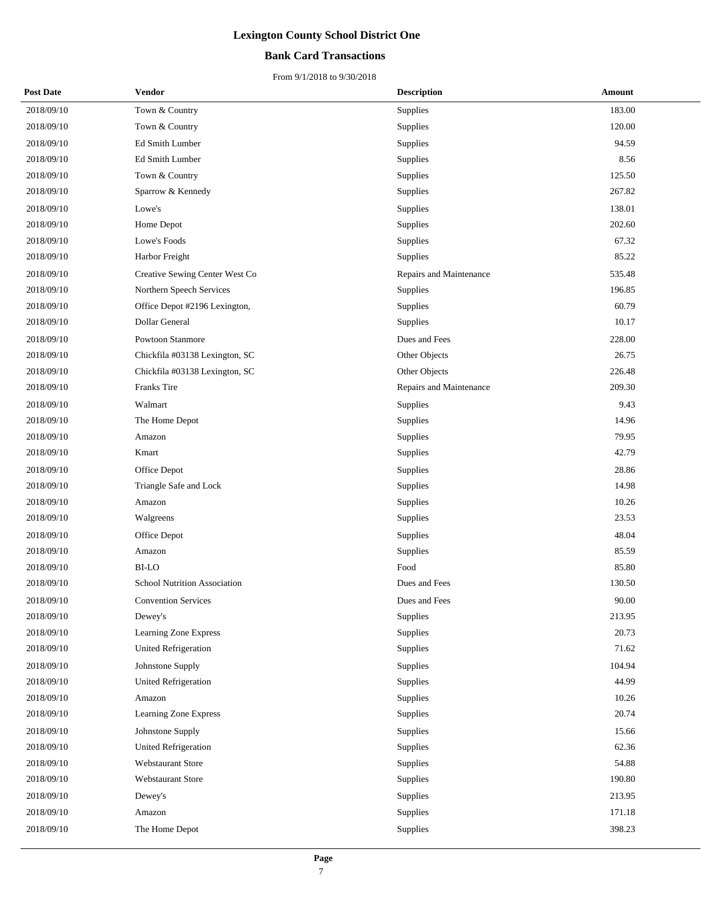## **Bank Card Transactions**

| <b>Post Date</b> | Vendor                              | <b>Description</b>      | Amount |
|------------------|-------------------------------------|-------------------------|--------|
| 2018/09/10       | Town & Country                      | Supplies                | 183.00 |
| 2018/09/10       | Town & Country                      | Supplies                | 120.00 |
| 2018/09/10       | Ed Smith Lumber                     | Supplies                | 94.59  |
| 2018/09/10       | Ed Smith Lumber                     | Supplies                | 8.56   |
| 2018/09/10       | Town & Country                      | Supplies                | 125.50 |
| 2018/09/10       | Sparrow & Kennedy                   | Supplies                | 267.82 |
| 2018/09/10       | Lowe's                              | Supplies                | 138.01 |
| 2018/09/10       | Home Depot                          | Supplies                | 202.60 |
| 2018/09/10       | Lowe's Foods                        | Supplies                | 67.32  |
| 2018/09/10       | Harbor Freight                      | Supplies                | 85.22  |
| 2018/09/10       | Creative Sewing Center West Co      | Repairs and Maintenance | 535.48 |
| 2018/09/10       | Northern Speech Services            | Supplies                | 196.85 |
| 2018/09/10       | Office Depot #2196 Lexington,       | Supplies                | 60.79  |
| 2018/09/10       | Dollar General                      | Supplies                | 10.17  |
| 2018/09/10       | Powtoon Stanmore                    | Dues and Fees           | 228.00 |
| 2018/09/10       | Chickfila #03138 Lexington, SC      | Other Objects           | 26.75  |
| 2018/09/10       | Chickfila #03138 Lexington, SC      | Other Objects           | 226.48 |
| 2018/09/10       | Franks Tire                         | Repairs and Maintenance | 209.30 |
| 2018/09/10       | Walmart                             | Supplies                | 9.43   |
| 2018/09/10       | The Home Depot                      | Supplies                | 14.96  |
| 2018/09/10       | Amazon                              | Supplies                | 79.95  |
| 2018/09/10       | Kmart                               | Supplies                | 42.79  |
| 2018/09/10       | Office Depot                        | Supplies                | 28.86  |
| 2018/09/10       | Triangle Safe and Lock              | Supplies                | 14.98  |
| 2018/09/10       | Amazon                              | Supplies                | 10.26  |
| 2018/09/10       | Walgreens                           | Supplies                | 23.53  |
| 2018/09/10       | Office Depot                        | Supplies                | 48.04  |
| 2018/09/10       | Amazon                              | Supplies                | 85.59  |
| 2018/09/10       | <b>BI-LO</b>                        | Food                    | 85.80  |
| 2018/09/10       | <b>School Nutrition Association</b> | Dues and Fees           | 130.50 |
| 2018/09/10       | <b>Convention Services</b>          | Dues and Fees           | 90.00  |
| 2018/09/10       | Dewey's                             | Supplies                | 213.95 |
| 2018/09/10       | Learning Zone Express               | Supplies                | 20.73  |
| 2018/09/10       | United Refrigeration                | Supplies                | 71.62  |
| 2018/09/10       | Johnstone Supply                    | Supplies                | 104.94 |
| 2018/09/10       | United Refrigeration                | Supplies                | 44.99  |
| 2018/09/10       | Amazon                              | Supplies                | 10.26  |
| 2018/09/10       | Learning Zone Express               | Supplies                | 20.74  |
| 2018/09/10       | Johnstone Supply                    | Supplies                | 15.66  |
| 2018/09/10       | <b>United Refrigeration</b>         | Supplies                | 62.36  |
| 2018/09/10       | Webstaurant Store                   | Supplies                | 54.88  |
| 2018/09/10       | Webstaurant Store                   | Supplies                | 190.80 |
| 2018/09/10       | Dewey's                             | Supplies                | 213.95 |
| 2018/09/10       | Amazon                              | Supplies                | 171.18 |
| 2018/09/10       | The Home Depot                      | Supplies                | 398.23 |
|                  |                                     |                         |        |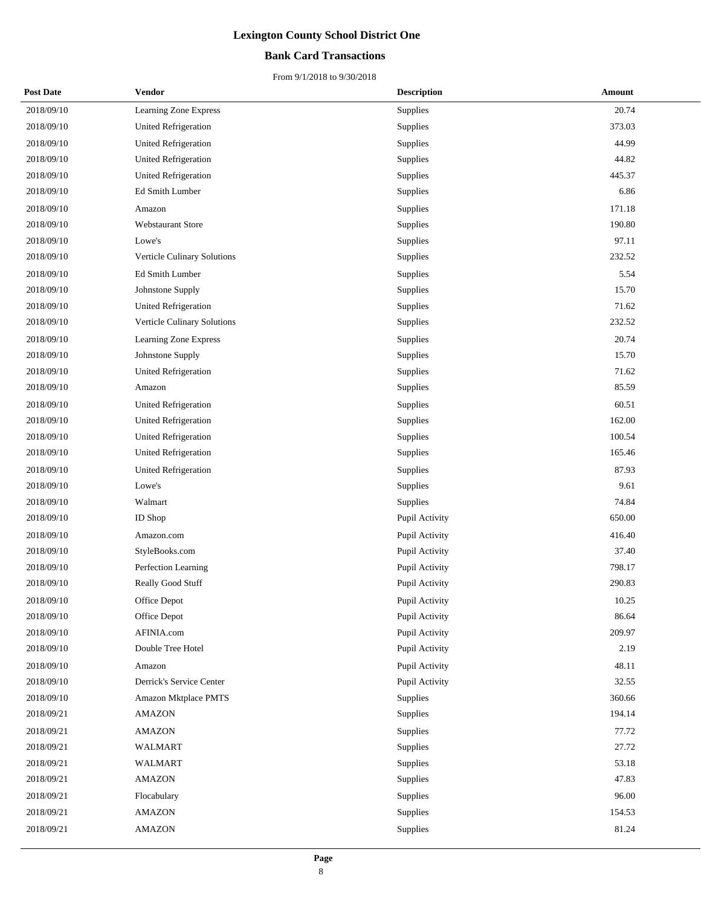### **Bank Card Transactions**

| <b>Post Date</b> | Vendor                      | <b>Description</b> | Amount |
|------------------|-----------------------------|--------------------|--------|
| 2018/09/10       | Learning Zone Express       | Supplies           | 20.74  |
| 2018/09/10       | <b>United Refrigeration</b> | Supplies           | 373.03 |
| 2018/09/10       | <b>United Refrigeration</b> | Supplies           | 44.99  |
| 2018/09/10       | <b>United Refrigeration</b> | Supplies           | 44.82  |
| 2018/09/10       | <b>United Refrigeration</b> | Supplies           | 445.37 |
| 2018/09/10       | Ed Smith Lumber             | Supplies           | 6.86   |
| 2018/09/10       | Amazon                      | Supplies           | 171.18 |
| 2018/09/10       | <b>Webstaurant Store</b>    | Supplies           | 190.80 |
| 2018/09/10       | Lowe's                      | Supplies           | 97.11  |
| 2018/09/10       | Verticle Culinary Solutions | Supplies           | 232.52 |
| 2018/09/10       | Ed Smith Lumber             | Supplies           | 5.54   |
| 2018/09/10       | Johnstone Supply            | Supplies           | 15.70  |
| 2018/09/10       | <b>United Refrigeration</b> | Supplies           | 71.62  |
| 2018/09/10       | Verticle Culinary Solutions | Supplies           | 232.52 |
| 2018/09/10       | Learning Zone Express       | Supplies           | 20.74  |
| 2018/09/10       | Johnstone Supply            | Supplies           | 15.70  |
| 2018/09/10       | United Refrigeration        | Supplies           | 71.62  |
| 2018/09/10       | Amazon                      | Supplies           | 85.59  |
| 2018/09/10       | United Refrigeration        | Supplies           | 60.51  |
| 2018/09/10       | <b>United Refrigeration</b> | Supplies           | 162.00 |
| 2018/09/10       | <b>United Refrigeration</b> | Supplies           | 100.54 |
| 2018/09/10       | United Refrigeration        | Supplies           | 165.46 |
| 2018/09/10       | <b>United Refrigeration</b> | Supplies           | 87.93  |
| 2018/09/10       | Lowe's                      | Supplies           | 9.61   |
| 2018/09/10       | Walmart                     | Supplies           | 74.84  |
| 2018/09/10       | ID Shop                     | Pupil Activity     | 650.00 |
| 2018/09/10       | Amazon.com                  | Pupil Activity     | 416.40 |
| 2018/09/10       | StyleBooks.com              | Pupil Activity     | 37.40  |
| 2018/09/10       | Perfection Learning         | Pupil Activity     | 798.17 |
| 2018/09/10       | Really Good Stuff           | Pupil Activity     | 290.83 |
| 2018/09/10       | Office Depot                | Pupil Activity     | 10.25  |
| 2018/09/10       | Office Depot                | Pupil Activity     | 86.64  |
| 2018/09/10       | AFINIA.com                  | Pupil Activity     | 209.97 |
| 2018/09/10       | Double Tree Hotel           | Pupil Activity     | 2.19   |
| 2018/09/10       | Amazon                      | Pupil Activity     | 48.11  |
| 2018/09/10       | Derrick's Service Center    | Pupil Activity     | 32.55  |
| 2018/09/10       | Amazon Mktplace PMTS        | Supplies           | 360.66 |
| 2018/09/21       | <b>AMAZON</b>               | Supplies           | 194.14 |
| 2018/09/21       | <b>AMAZON</b>               | Supplies           | 77.72  |
| 2018/09/21       | <b>WALMART</b>              | Supplies           | 27.72  |
| 2018/09/21       | <b>WALMART</b>              | Supplies           | 53.18  |
| 2018/09/21       | <b>AMAZON</b>               | Supplies           | 47.83  |
| 2018/09/21       | Flocabulary                 | Supplies           | 96.00  |
| 2018/09/21       | <b>AMAZON</b>               | Supplies           | 154.53 |
| 2018/09/21       | <b>AMAZON</b>               | Supplies           | 81.24  |
|                  |                             |                    |        |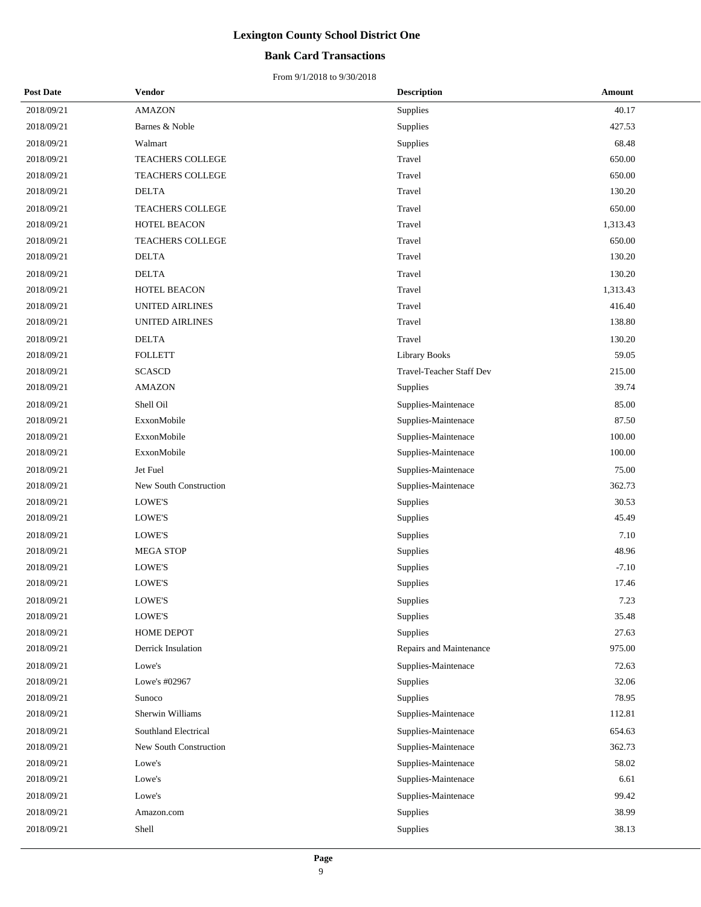## **Bank Card Transactions**

| <b>Post Date</b> | <b>Vendor</b>          | <b>Description</b>       | Amount   |
|------------------|------------------------|--------------------------|----------|
| 2018/09/21       | <b>AMAZON</b>          | Supplies                 | 40.17    |
| 2018/09/21       | Barnes & Noble         | Supplies                 | 427.53   |
| 2018/09/21       | Walmart                | Supplies                 | 68.48    |
| 2018/09/21       | TEACHERS COLLEGE       | Travel                   | 650.00   |
| 2018/09/21       | TEACHERS COLLEGE       | Travel                   | 650.00   |
| 2018/09/21       | <b>DELTA</b>           | Travel                   | 130.20   |
| 2018/09/21       | TEACHERS COLLEGE       | Travel                   | 650.00   |
| 2018/09/21       | HOTEL BEACON           | Travel                   | 1,313.43 |
| 2018/09/21       | TEACHERS COLLEGE       | Travel                   | 650.00   |
| 2018/09/21       | <b>DELTA</b>           | Travel                   | 130.20   |
| 2018/09/21       | <b>DELTA</b>           | Travel                   | 130.20   |
| 2018/09/21       | HOTEL BEACON           | Travel                   | 1,313.43 |
| 2018/09/21       | <b>UNITED AIRLINES</b> | Travel                   | 416.40   |
| 2018/09/21       | <b>UNITED AIRLINES</b> | Travel                   | 138.80   |
| 2018/09/21       | <b>DELTA</b>           | Travel                   | 130.20   |
| 2018/09/21       | <b>FOLLETT</b>         | <b>Library Books</b>     | 59.05    |
| 2018/09/21       | <b>SCASCD</b>          | Travel-Teacher Staff Dev | 215.00   |
| 2018/09/21       | <b>AMAZON</b>          | Supplies                 | 39.74    |
| 2018/09/21       | Shell Oil              | Supplies-Maintenace      | 85.00    |
| 2018/09/21       | ExxonMobile            | Supplies-Maintenace      | 87.50    |
| 2018/09/21       | ExxonMobile            | Supplies-Maintenace      | 100.00   |
| 2018/09/21       | ExxonMobile            | Supplies-Maintenace      | 100.00   |
| 2018/09/21       | Jet Fuel               | Supplies-Maintenace      | 75.00    |
| 2018/09/21       | New South Construction | Supplies-Maintenace      | 362.73   |
| 2018/09/21       | LOWE'S                 | Supplies                 | 30.53    |
| 2018/09/21       | LOWE'S                 | Supplies                 | 45.49    |
| 2018/09/21       | LOWE'S                 | Supplies                 | 7.10     |
| 2018/09/21       | <b>MEGA STOP</b>       | Supplies                 | 48.96    |
| 2018/09/21       | <b>LOWE'S</b>          | Supplies                 | $-7.10$  |
| 2018/09/21       | LOWE'S                 | Supplies                 | 17.46    |
| 2018/09/21       | LOWE'S                 | Supplies                 | 7.23     |
| 2018/09/21       | LOWE'S                 | Supplies                 | 35.48    |
| 2018/09/21       | HOME DEPOT             | Supplies                 | 27.63    |
| 2018/09/21       | Derrick Insulation     | Repairs and Maintenance  | 975.00   |
| 2018/09/21       | Lowe's                 | Supplies-Maintenace      | 72.63    |
| 2018/09/21       | Lowe's #02967          | Supplies                 | 32.06    |
| 2018/09/21       | Sunoco                 | Supplies                 | 78.95    |
| 2018/09/21       | Sherwin Williams       | Supplies-Maintenace      | 112.81   |
| 2018/09/21       | Southland Electrical   | Supplies-Maintenace      | 654.63   |
| 2018/09/21       | New South Construction | Supplies-Maintenace      | 362.73   |
| 2018/09/21       | Lowe's                 | Supplies-Maintenace      | 58.02    |
| 2018/09/21       | Lowe's                 | Supplies-Maintenace      | 6.61     |
| 2018/09/21       | Lowe's                 | Supplies-Maintenace      | 99.42    |
| 2018/09/21       | Amazon.com             | Supplies                 | 38.99    |
| 2018/09/21       | Shell                  | Supplies                 | 38.13    |
|                  |                        |                          |          |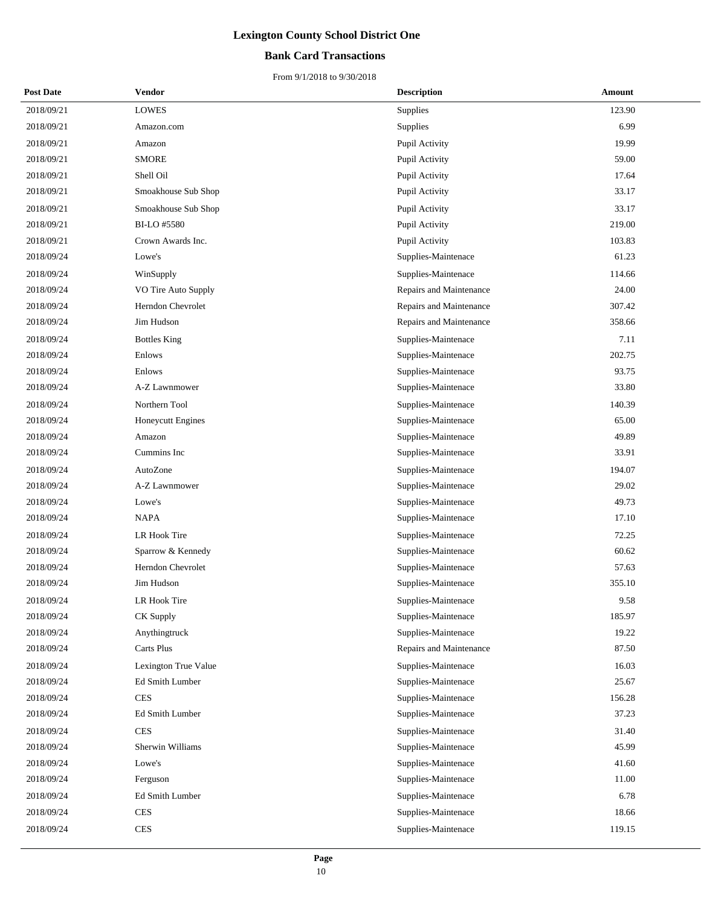## **Bank Card Transactions**

| <b>Post Date</b> | Vendor               | <b>Description</b>      | <b>Amount</b> |
|------------------|----------------------|-------------------------|---------------|
| 2018/09/21       | <b>LOWES</b>         | Supplies                | 123.90        |
| 2018/09/21       | Amazon.com           | Supplies                | 6.99          |
| 2018/09/21       | Amazon               | Pupil Activity          | 19.99         |
| 2018/09/21       | <b>SMORE</b>         | Pupil Activity          | 59.00         |
| 2018/09/21       | Shell Oil            | Pupil Activity          | 17.64         |
| 2018/09/21       | Smoakhouse Sub Shop  | Pupil Activity          | 33.17         |
| 2018/09/21       | Smoakhouse Sub Shop  | Pupil Activity          | 33.17         |
| 2018/09/21       | BI-LO #5580          | Pupil Activity          | 219.00        |
| 2018/09/21       | Crown Awards Inc.    | Pupil Activity          | 103.83        |
| 2018/09/24       | Lowe's               | Supplies-Maintenace     | 61.23         |
| 2018/09/24       | WinSupply            | Supplies-Maintenace     | 114.66        |
| 2018/09/24       | VO Tire Auto Supply  | Repairs and Maintenance | 24.00         |
| 2018/09/24       | Herndon Chevrolet    | Repairs and Maintenance | 307.42        |
| 2018/09/24       | Jim Hudson           | Repairs and Maintenance | 358.66        |
| 2018/09/24       | <b>Bottles King</b>  | Supplies-Maintenace     | 7.11          |
| 2018/09/24       | Enlows               | Supplies-Maintenace     | 202.75        |
| 2018/09/24       | Enlows               | Supplies-Maintenace     | 93.75         |
| 2018/09/24       | A-Z Lawnmower        | Supplies-Maintenace     | 33.80         |
| 2018/09/24       | Northern Tool        | Supplies-Maintenace     | 140.39        |
| 2018/09/24       | Honeycutt Engines    | Supplies-Maintenace     | 65.00         |
| 2018/09/24       | Amazon               | Supplies-Maintenace     | 49.89         |
| 2018/09/24       | Cummins Inc          | Supplies-Maintenace     | 33.91         |
| 2018/09/24       | AutoZone             | Supplies-Maintenace     | 194.07        |
| 2018/09/24       | A-Z Lawnmower        | Supplies-Maintenace     | 29.02         |
| 2018/09/24       | Lowe's               | Supplies-Maintenace     | 49.73         |
| 2018/09/24       | <b>NAPA</b>          | Supplies-Maintenace     | 17.10         |
| 2018/09/24       | LR Hook Tire         | Supplies-Maintenace     | 72.25         |
| 2018/09/24       | Sparrow & Kennedy    | Supplies-Maintenace     | 60.62         |
| 2018/09/24       | Herndon Chevrolet    | Supplies-Maintenace     | 57.63         |
| 2018/09/24       | Jim Hudson           | Supplies-Maintenace     | 355.10        |
| 2018/09/24       | LR Hook Tire         | Supplies-Maintenace     | 9.58          |
| 2018/09/24       | CK Supply            | Supplies-Maintenace     | 185.97        |
| 2018/09/24       | Anythingtruck        | Supplies-Maintenace     | 19.22         |
| 2018/09/24       | Carts Plus           | Repairs and Maintenance | 87.50         |
| 2018/09/24       | Lexington True Value | Supplies-Maintenace     | 16.03         |
| 2018/09/24       | Ed Smith Lumber      | Supplies-Maintenace     | 25.67         |
| 2018/09/24       | <b>CES</b>           | Supplies-Maintenace     | 156.28        |
| 2018/09/24       | Ed Smith Lumber      | Supplies-Maintenace     | 37.23         |
| 2018/09/24       | <b>CES</b>           | Supplies-Maintenace     | 31.40         |
| 2018/09/24       | Sherwin Williams     | Supplies-Maintenace     | 45.99         |
| 2018/09/24       | Lowe's               | Supplies-Maintenace     | 41.60         |
| 2018/09/24       | Ferguson             | Supplies-Maintenace     | 11.00         |
| 2018/09/24       | Ed Smith Lumber      | Supplies-Maintenace     | 6.78          |
| 2018/09/24       | <b>CES</b>           | Supplies-Maintenace     | 18.66         |
| 2018/09/24       | <b>CES</b>           | Supplies-Maintenace     | 119.15        |
|                  |                      |                         |               |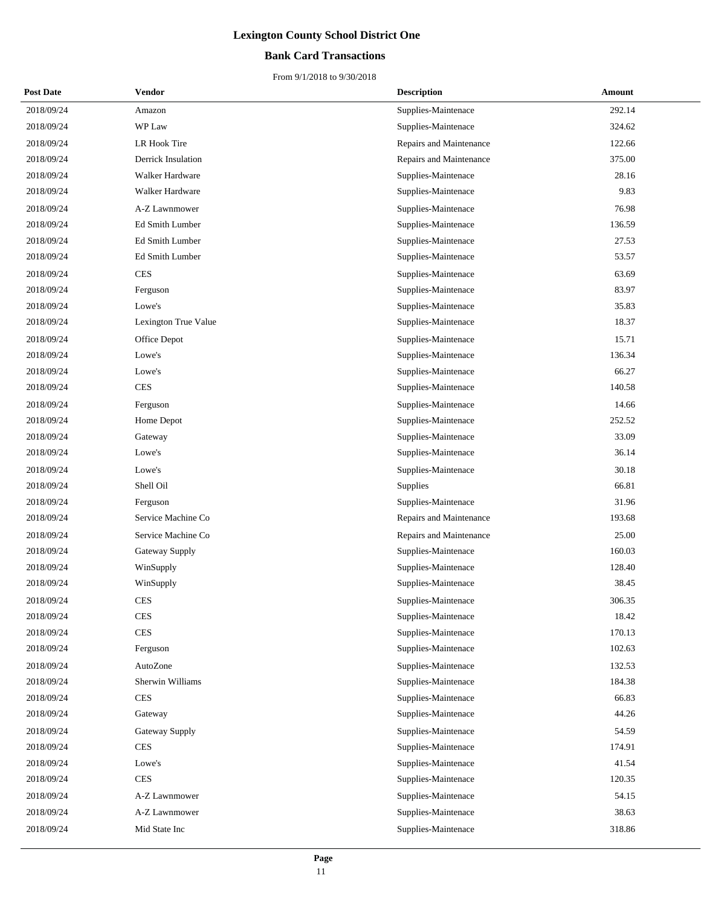## **Bank Card Transactions**

| <b>Post Date</b> | Vendor               | <b>Description</b>      | Amount |
|------------------|----------------------|-------------------------|--------|
| 2018/09/24       | Amazon               | Supplies-Maintenace     | 292.14 |
| 2018/09/24       | WP Law               | Supplies-Maintenace     | 324.62 |
| 2018/09/24       | LR Hook Tire         | Repairs and Maintenance | 122.66 |
| 2018/09/24       | Derrick Insulation   | Repairs and Maintenance | 375.00 |
| 2018/09/24       | Walker Hardware      | Supplies-Maintenace     | 28.16  |
| 2018/09/24       | Walker Hardware      | Supplies-Maintenace     | 9.83   |
| 2018/09/24       | A-Z Lawnmower        | Supplies-Maintenace     | 76.98  |
| 2018/09/24       | Ed Smith Lumber      | Supplies-Maintenace     | 136.59 |
| 2018/09/24       | Ed Smith Lumber      | Supplies-Maintenace     | 27.53  |
| 2018/09/24       | Ed Smith Lumber      | Supplies-Maintenace     | 53.57  |
| 2018/09/24       | <b>CES</b>           | Supplies-Maintenace     | 63.69  |
| 2018/09/24       | Ferguson             | Supplies-Maintenace     | 83.97  |
| 2018/09/24       | Lowe's               | Supplies-Maintenace     | 35.83  |
| 2018/09/24       | Lexington True Value | Supplies-Maintenace     | 18.37  |
| 2018/09/24       | Office Depot         | Supplies-Maintenace     | 15.71  |
| 2018/09/24       | Lowe's               | Supplies-Maintenace     | 136.34 |
| 2018/09/24       | Lowe's               | Supplies-Maintenace     | 66.27  |
| 2018/09/24       | <b>CES</b>           | Supplies-Maintenace     | 140.58 |
| 2018/09/24       | Ferguson             | Supplies-Maintenace     | 14.66  |
| 2018/09/24       | Home Depot           | Supplies-Maintenace     | 252.52 |
| 2018/09/24       | Gateway              | Supplies-Maintenace     | 33.09  |
| 2018/09/24       | Lowe's               | Supplies-Maintenace     | 36.14  |
| 2018/09/24       | Lowe's               | Supplies-Maintenace     | 30.18  |
| 2018/09/24       | Shell Oil            | Supplies                | 66.81  |
| 2018/09/24       | Ferguson             | Supplies-Maintenace     | 31.96  |
| 2018/09/24       | Service Machine Co   | Repairs and Maintenance | 193.68 |
| 2018/09/24       | Service Machine Co   | Repairs and Maintenance | 25.00  |
| 2018/09/24       | Gateway Supply       | Supplies-Maintenace     | 160.03 |
| 2018/09/24       | WinSupply            | Supplies-Maintenace     | 128.40 |
| 2018/09/24       | WinSupply            | Supplies-Maintenace     | 38.45  |
| 2018/09/24       | <b>CES</b>           | Supplies-Maintenace     | 306.35 |
| 2018/09/24       | <b>CES</b>           | Supplies-Maintenace     | 18.42  |
| 2018/09/24       | <b>CES</b>           | Supplies-Maintenace     | 170.13 |
| 2018/09/24       | Ferguson             | Supplies-Maintenace     | 102.63 |
| 2018/09/24       | AutoZone             | Supplies-Maintenace     | 132.53 |
| 2018/09/24       | Sherwin Williams     | Supplies-Maintenace     | 184.38 |
| 2018/09/24       | <b>CES</b>           | Supplies-Maintenace     | 66.83  |
| 2018/09/24       | Gateway              | Supplies-Maintenace     | 44.26  |
| 2018/09/24       | Gateway Supply       | Supplies-Maintenace     | 54.59  |
| 2018/09/24       | <b>CES</b>           | Supplies-Maintenace     | 174.91 |
| 2018/09/24       | Lowe's               | Supplies-Maintenace     | 41.54  |
| 2018/09/24       | <b>CES</b>           | Supplies-Maintenace     | 120.35 |
| 2018/09/24       | A-Z Lawnmower        | Supplies-Maintenace     | 54.15  |
| 2018/09/24       | A-Z Lawnmower        | Supplies-Maintenace     | 38.63  |
| 2018/09/24       | Mid State Inc        | Supplies-Maintenace     | 318.86 |
|                  |                      |                         |        |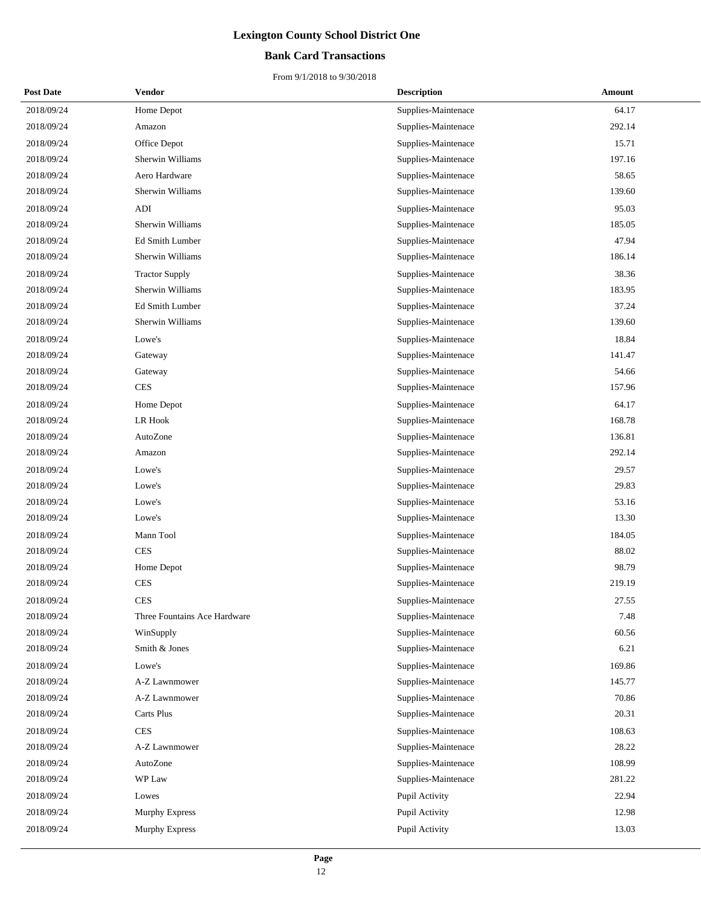## **Bank Card Transactions**

| <b>Post Date</b> | Vendor                       | <b>Description</b>  | Amount |
|------------------|------------------------------|---------------------|--------|
| 2018/09/24       | Home Depot                   | Supplies-Maintenace | 64.17  |
| 2018/09/24       | Amazon                       | Supplies-Maintenace | 292.14 |
| 2018/09/24       | Office Depot                 | Supplies-Maintenace | 15.71  |
| 2018/09/24       | Sherwin Williams             | Supplies-Maintenace | 197.16 |
| 2018/09/24       | Aero Hardware                | Supplies-Maintenace | 58.65  |
| 2018/09/24       | Sherwin Williams             | Supplies-Maintenace | 139.60 |
| 2018/09/24       | ADI                          | Supplies-Maintenace | 95.03  |
| 2018/09/24       | Sherwin Williams             | Supplies-Maintenace | 185.05 |
| 2018/09/24       | Ed Smith Lumber              | Supplies-Maintenace | 47.94  |
| 2018/09/24       | Sherwin Williams             | Supplies-Maintenace | 186.14 |
| 2018/09/24       | <b>Tractor Supply</b>        | Supplies-Maintenace | 38.36  |
| 2018/09/24       | Sherwin Williams             | Supplies-Maintenace | 183.95 |
| 2018/09/24       | Ed Smith Lumber              | Supplies-Maintenace | 37.24  |
| 2018/09/24       | Sherwin Williams             | Supplies-Maintenace | 139.60 |
| 2018/09/24       | Lowe's                       | Supplies-Maintenace | 18.84  |
| 2018/09/24       | Gateway                      | Supplies-Maintenace | 141.47 |
| 2018/09/24       | Gateway                      | Supplies-Maintenace | 54.66  |
| 2018/09/24       | <b>CES</b>                   | Supplies-Maintenace | 157.96 |
| 2018/09/24       | Home Depot                   | Supplies-Maintenace | 64.17  |
| 2018/09/24       | <b>LR Hook</b>               | Supplies-Maintenace | 168.78 |
| 2018/09/24       | AutoZone                     | Supplies-Maintenace | 136.81 |
| 2018/09/24       | Amazon                       | Supplies-Maintenace | 292.14 |
| 2018/09/24       | Lowe's                       | Supplies-Maintenace | 29.57  |
| 2018/09/24       | Lowe's                       | Supplies-Maintenace | 29.83  |
| 2018/09/24       | Lowe's                       | Supplies-Maintenace | 53.16  |
| 2018/09/24       | Lowe's                       | Supplies-Maintenace | 13.30  |
| 2018/09/24       | Mann Tool                    | Supplies-Maintenace | 184.05 |
| 2018/09/24       | <b>CES</b>                   | Supplies-Maintenace | 88.02  |
| 2018/09/24       | Home Depot                   | Supplies-Maintenace | 98.79  |
| 2018/09/24       | <b>CES</b>                   | Supplies-Maintenace | 219.19 |
| 2018/09/24       | <b>CES</b>                   | Supplies-Maintenace | 27.55  |
| 2018/09/24       | Three Fountains Ace Hardware | Supplies-Maintenace | 7.48   |
| 2018/09/24       | WinSupply                    | Supplies-Maintenace | 60.56  |
| 2018/09/24       | Smith & Jones                | Supplies-Maintenace | 6.21   |
| 2018/09/24       | Lowe's                       | Supplies-Maintenace | 169.86 |
| 2018/09/24       | A-Z Lawnmower                | Supplies-Maintenace | 145.77 |
| 2018/09/24       | A-Z Lawnmower                | Supplies-Maintenace | 70.86  |
| 2018/09/24       | Carts Plus                   | Supplies-Maintenace | 20.31  |
| 2018/09/24       | <b>CES</b>                   | Supplies-Maintenace | 108.63 |
| 2018/09/24       | A-Z Lawnmower                | Supplies-Maintenace | 28.22  |
| 2018/09/24       | AutoZone                     | Supplies-Maintenace | 108.99 |
| 2018/09/24       | WP Law                       | Supplies-Maintenace | 281.22 |
| 2018/09/24       | Lowes                        | Pupil Activity      | 22.94  |
| 2018/09/24       | <b>Murphy Express</b>        | Pupil Activity      | 12.98  |
| 2018/09/24       | <b>Murphy Express</b>        | Pupil Activity      | 13.03  |
|                  |                              |                     |        |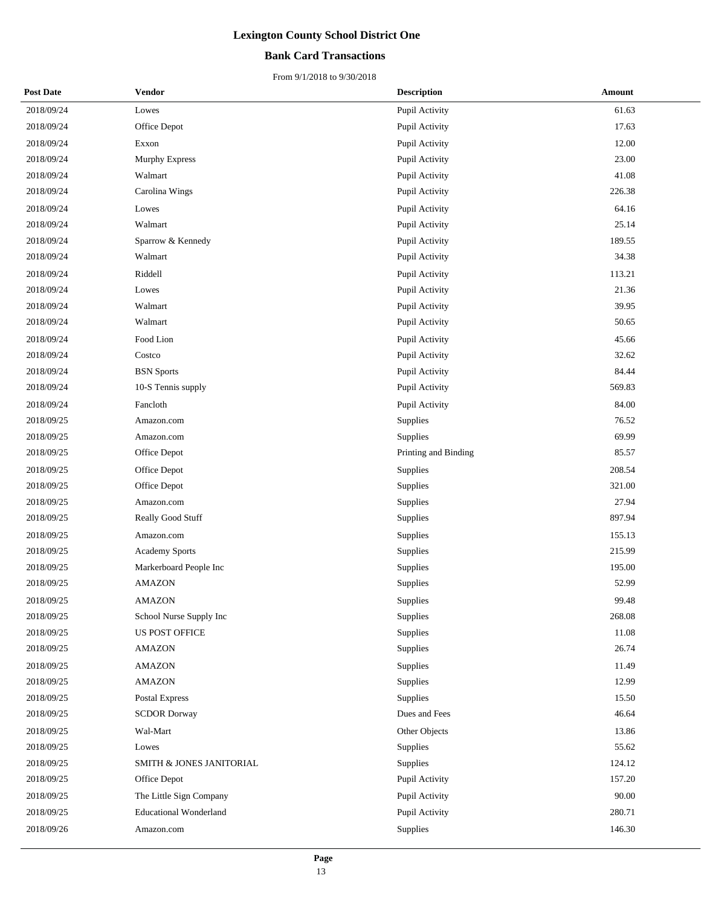### **Bank Card Transactions**

| <b>Post Date</b> | <b>Vendor</b>                 | <b>Description</b>   | Amount |
|------------------|-------------------------------|----------------------|--------|
| 2018/09/24       | Lowes                         | Pupil Activity       | 61.63  |
| 2018/09/24       | Office Depot                  | Pupil Activity       | 17.63  |
| 2018/09/24       | Exxon                         | Pupil Activity       | 12.00  |
| 2018/09/24       | <b>Murphy Express</b>         | Pupil Activity       | 23.00  |
| 2018/09/24       | Walmart                       | Pupil Activity       | 41.08  |
| 2018/09/24       | Carolina Wings                | Pupil Activity       | 226.38 |
| 2018/09/24       | Lowes                         | Pupil Activity       | 64.16  |
| 2018/09/24       | Walmart                       | Pupil Activity       | 25.14  |
| 2018/09/24       | Sparrow & Kennedy             | Pupil Activity       | 189.55 |
| 2018/09/24       | Walmart                       | Pupil Activity       | 34.38  |
| 2018/09/24       | Riddell                       | Pupil Activity       | 113.21 |
| 2018/09/24       | Lowes                         | Pupil Activity       | 21.36  |
| 2018/09/24       | Walmart                       | Pupil Activity       | 39.95  |
| 2018/09/24       | Walmart                       | Pupil Activity       | 50.65  |
| 2018/09/24       | Food Lion                     | Pupil Activity       | 45.66  |
| 2018/09/24       | Costco                        | Pupil Activity       | 32.62  |
| 2018/09/24       | <b>BSN</b> Sports             | Pupil Activity       | 84.44  |
| 2018/09/24       | 10-S Tennis supply            | Pupil Activity       | 569.83 |
| 2018/09/24       | Fancloth                      | Pupil Activity       | 84.00  |
| 2018/09/25       | Amazon.com                    | Supplies             | 76.52  |
| 2018/09/25       | Amazon.com                    | Supplies             | 69.99  |
| 2018/09/25       | Office Depot                  | Printing and Binding | 85.57  |
| 2018/09/25       | Office Depot                  | Supplies             | 208.54 |
| 2018/09/25       | Office Depot                  | Supplies             | 321.00 |
| 2018/09/25       | Amazon.com                    | Supplies             | 27.94  |
| 2018/09/25       | Really Good Stuff             | Supplies             | 897.94 |
| 2018/09/25       | Amazon.com                    | Supplies             | 155.13 |
| 2018/09/25       | <b>Academy Sports</b>         | Supplies             | 215.99 |
| 2018/09/25       | Markerboard People Inc        | Supplies             | 195.00 |
| 2018/09/25       | <b>AMAZON</b>                 | Supplies             | 52.99  |
| 2018/09/25       | <b>AMAZON</b>                 | Supplies             | 99.48  |
| 2018/09/25       | School Nurse Supply Inc       | Supplies             | 268.08 |
| 2018/09/25       | US POST OFFICE                | Supplies             | 11.08  |
| 2018/09/25       | <b>AMAZON</b>                 | Supplies             | 26.74  |
| 2018/09/25       | <b>AMAZON</b>                 | Supplies             | 11.49  |
| 2018/09/25       | <b>AMAZON</b>                 | Supplies             | 12.99  |
| 2018/09/25       | Postal Express                | Supplies             | 15.50  |
| 2018/09/25       | <b>SCDOR Dorway</b>           | Dues and Fees        | 46.64  |
| 2018/09/25       | Wal-Mart                      | Other Objects        | 13.86  |
| 2018/09/25       | Lowes                         | Supplies             | 55.62  |
| 2018/09/25       | SMITH & JONES JANITORIAL      | Supplies             | 124.12 |
| 2018/09/25       | Office Depot                  | Pupil Activity       | 157.20 |
| 2018/09/25       | The Little Sign Company       | Pupil Activity       | 90.00  |
| 2018/09/25       | <b>Educational Wonderland</b> | Pupil Activity       | 280.71 |
| 2018/09/26       | Amazon.com                    | Supplies             | 146.30 |
|                  |                               |                      |        |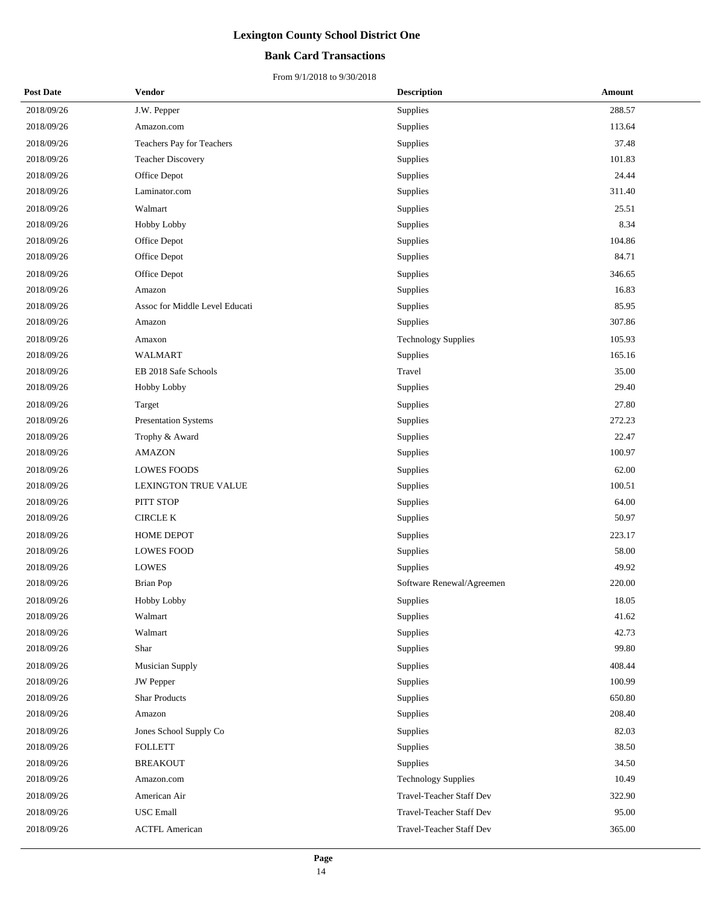### **Bank Card Transactions**

| <b>Post Date</b> | Vendor                         | <b>Description</b>         | Amount |
|------------------|--------------------------------|----------------------------|--------|
| 2018/09/26       | J.W. Pepper                    | Supplies                   | 288.57 |
| 2018/09/26       | Amazon.com                     | Supplies                   | 113.64 |
| 2018/09/26       | Teachers Pay for Teachers      | Supplies                   | 37.48  |
| 2018/09/26       | <b>Teacher Discovery</b>       | Supplies                   | 101.83 |
| 2018/09/26       | Office Depot                   | Supplies                   | 24.44  |
| 2018/09/26       | Laminator.com                  | Supplies                   | 311.40 |
| 2018/09/26       | Walmart                        | Supplies                   | 25.51  |
| 2018/09/26       | Hobby Lobby                    | Supplies                   | 8.34   |
| 2018/09/26       | Office Depot                   | Supplies                   | 104.86 |
| 2018/09/26       | Office Depot                   | Supplies                   | 84.71  |
| 2018/09/26       | Office Depot                   | Supplies                   | 346.65 |
| 2018/09/26       | Amazon                         | Supplies                   | 16.83  |
| 2018/09/26       | Assoc for Middle Level Educati | Supplies                   | 85.95  |
| 2018/09/26       | Amazon                         | Supplies                   | 307.86 |
| 2018/09/26       | Amaxon                         | <b>Technology Supplies</b> | 105.93 |
| 2018/09/26       | <b>WALMART</b>                 | Supplies                   | 165.16 |
| 2018/09/26       | EB 2018 Safe Schools           | Travel                     | 35.00  |
| 2018/09/26       | Hobby Lobby                    | Supplies                   | 29.40  |
| 2018/09/26       | Target                         | Supplies                   | 27.80  |
| 2018/09/26       | <b>Presentation Systems</b>    | Supplies                   | 272.23 |
| 2018/09/26       | Trophy & Award                 | Supplies                   | 22.47  |
| 2018/09/26       | <b>AMAZON</b>                  | Supplies                   | 100.97 |
| 2018/09/26       | <b>LOWES FOODS</b>             | Supplies                   | 62.00  |
| 2018/09/26       | <b>LEXINGTON TRUE VALUE</b>    | Supplies                   | 100.51 |
| 2018/09/26       | PITT STOP                      | Supplies                   | 64.00  |
| 2018/09/26       | <b>CIRCLE K</b>                | Supplies                   | 50.97  |
| 2018/09/26       | <b>HOME DEPOT</b>              | Supplies                   | 223.17 |
| 2018/09/26       | <b>LOWES FOOD</b>              | Supplies                   | 58.00  |
| 2018/09/26       | <b>LOWES</b>                   | Supplies                   | 49.92  |
| 2018/09/26       | <b>Brian Pop</b>               | Software Renewal/Agreemen  | 220.00 |
| 2018/09/26       | Hobby Lobby                    | Supplies                   | 18.05  |
| 2018/09/26       | Walmart                        | Supplies                   | 41.62  |
| 2018/09/26       | Walmart                        | Supplies                   | 42.73  |
| 2018/09/26       | Shar                           | Supplies                   | 99.80  |
| 2018/09/26       | <b>Musician Supply</b>         | Supplies                   | 408.44 |
| 2018/09/26       | <b>JW</b> Pepper               | Supplies                   | 100.99 |
| 2018/09/26       | <b>Shar Products</b>           | Supplies                   | 650.80 |
| 2018/09/26       | Amazon                         | Supplies                   | 208.40 |
| 2018/09/26       | Jones School Supply Co         | Supplies                   | 82.03  |
| 2018/09/26       | <b>FOLLETT</b>                 | Supplies                   | 38.50  |
| 2018/09/26       | <b>BREAKOUT</b>                | Supplies                   | 34.50  |
| 2018/09/26       | Amazon.com                     | <b>Technology Supplies</b> | 10.49  |
| 2018/09/26       | American Air                   | Travel-Teacher Staff Dev   | 322.90 |
| 2018/09/26       | <b>USC</b> Emall               | Travel-Teacher Staff Dev   | 95.00  |
| 2018/09/26       | <b>ACTFL American</b>          | Travel-Teacher Staff Dev   | 365.00 |
|                  |                                |                            |        |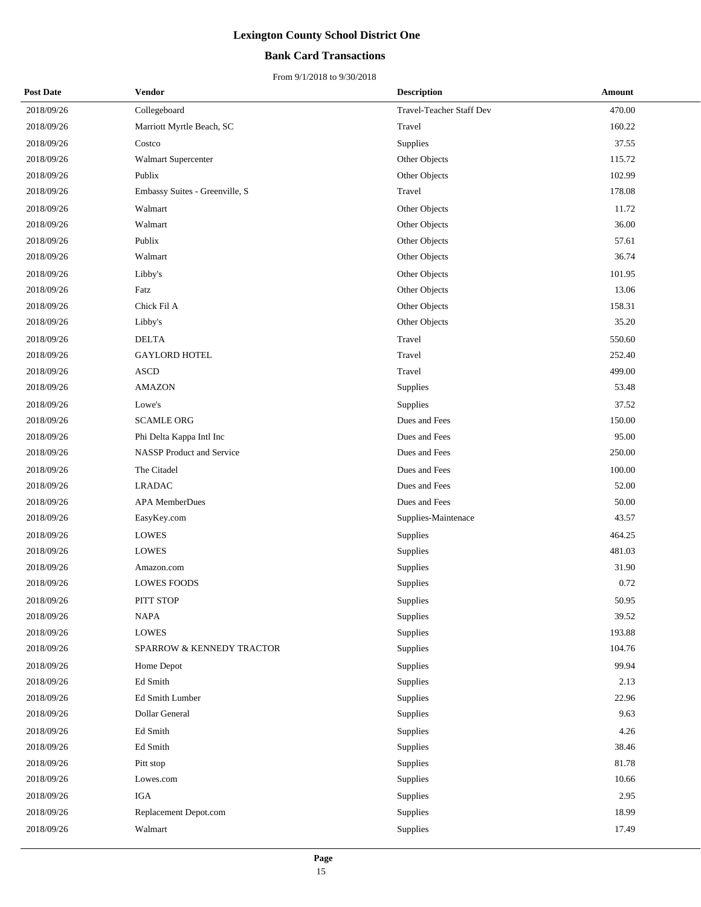## **Bank Card Transactions**

| <b>Post Date</b> | <b>Vendor</b>                    | <b>Description</b>       | Amount |
|------------------|----------------------------------|--------------------------|--------|
| 2018/09/26       | Collegeboard                     | Travel-Teacher Staff Dev | 470.00 |
| 2018/09/26       | Marriott Myrtle Beach, SC        | Travel                   | 160.22 |
| 2018/09/26       | Costco                           | Supplies                 | 37.55  |
| 2018/09/26       | Walmart Supercenter              | Other Objects            | 115.72 |
| 2018/09/26       | Publix                           | Other Objects            | 102.99 |
| 2018/09/26       | Embassy Suites - Greenville, S   | Travel                   | 178.08 |
| 2018/09/26       | Walmart                          | Other Objects            | 11.72  |
| 2018/09/26       | Walmart                          | Other Objects            | 36.00  |
| 2018/09/26       | Publix                           | Other Objects            | 57.61  |
| 2018/09/26       | Walmart                          | Other Objects            | 36.74  |
| 2018/09/26       | Libby's                          | Other Objects            | 101.95 |
| 2018/09/26       | Fatz                             | Other Objects            | 13.06  |
| 2018/09/26       | Chick Fil A                      | Other Objects            | 158.31 |
| 2018/09/26       | Libby's                          | Other Objects            | 35.20  |
| 2018/09/26       | <b>DELTA</b>                     | Travel                   | 550.60 |
| 2018/09/26       | <b>GAYLORD HOTEL</b>             | Travel                   | 252.40 |
| 2018/09/26       | <b>ASCD</b>                      | Travel                   | 499.00 |
| 2018/09/26       | <b>AMAZON</b>                    | Supplies                 | 53.48  |
| 2018/09/26       | Lowe's                           | Supplies                 | 37.52  |
| 2018/09/26       | <b>SCAMLE ORG</b>                | Dues and Fees            | 150.00 |
| 2018/09/26       | Phi Delta Kappa Intl Inc         | Dues and Fees            | 95.00  |
| 2018/09/26       | <b>NASSP</b> Product and Service | Dues and Fees            | 250.00 |
| 2018/09/26       | The Citadel                      | Dues and Fees            | 100.00 |
| 2018/09/26       | <b>LRADAC</b>                    | Dues and Fees            | 52.00  |
| 2018/09/26       | <b>APA MemberDues</b>            | Dues and Fees            | 50.00  |
| 2018/09/26       | EasyKey.com                      | Supplies-Maintenace      | 43.57  |
| 2018/09/26       | <b>LOWES</b>                     | Supplies                 | 464.25 |
| 2018/09/26       | <b>LOWES</b>                     | Supplies                 | 481.03 |
| 2018/09/26       | Amazon.com                       | Supplies                 | 31.90  |
| 2018/09/26       | <b>LOWES FOODS</b>               | Supplies                 | 0.72   |
| 2018/09/26       | PITT STOP                        | Supplies                 | 50.95  |
| 2018/09/26       | <b>NAPA</b>                      | Supplies                 | 39.52  |
| 2018/09/26       | <b>LOWES</b>                     | Supplies                 | 193.88 |
| 2018/09/26       | SPARROW & KENNEDY TRACTOR        | Supplies                 | 104.76 |
| 2018/09/26       | Home Depot                       | Supplies                 | 99.94  |
| 2018/09/26       | Ed Smith                         | Supplies                 | 2.13   |
| 2018/09/26       | Ed Smith Lumber                  | Supplies                 | 22.96  |
| 2018/09/26       | Dollar General                   | Supplies                 | 9.63   |
| 2018/09/26       | Ed Smith                         | Supplies                 | 4.26   |
| 2018/09/26       | Ed Smith                         | Supplies                 | 38.46  |
| 2018/09/26       | Pitt stop                        | Supplies                 | 81.78  |
| 2018/09/26       | Lowes.com                        | Supplies                 | 10.66  |
| 2018/09/26       | IGA                              | Supplies                 | 2.95   |
| 2018/09/26       | Replacement Depot.com            | Supplies                 | 18.99  |
| 2018/09/26       | Walmart                          | Supplies                 | 17.49  |
|                  |                                  |                          |        |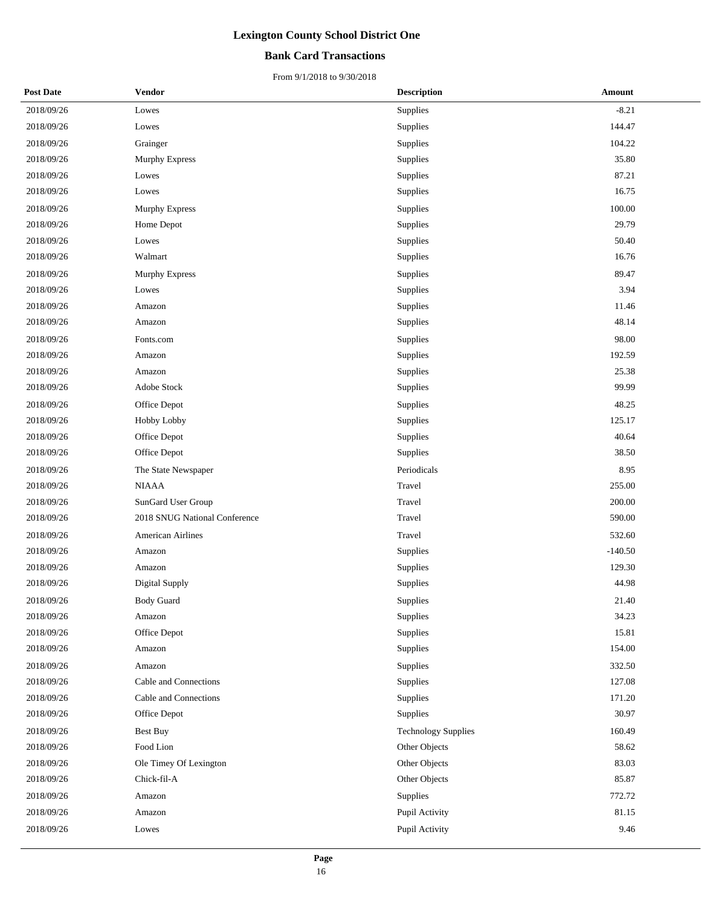## **Bank Card Transactions**

| <b>Post Date</b> | <b>Vendor</b>                 | <b>Description</b>         | <b>Amount</b> |
|------------------|-------------------------------|----------------------------|---------------|
| 2018/09/26       | Lowes                         | Supplies                   | $-8.21$       |
| 2018/09/26       | Lowes                         | Supplies                   | 144.47        |
| 2018/09/26       | Grainger                      | Supplies                   | 104.22        |
| 2018/09/26       | <b>Murphy Express</b>         | Supplies                   | 35.80         |
| 2018/09/26       | Lowes                         | Supplies                   | 87.21         |
| 2018/09/26       | Lowes                         | Supplies                   | 16.75         |
| 2018/09/26       | Murphy Express                | Supplies                   | 100.00        |
| 2018/09/26       | Home Depot                    | Supplies                   | 29.79         |
| 2018/09/26       | Lowes                         | Supplies                   | 50.40         |
| 2018/09/26       | Walmart                       | Supplies                   | 16.76         |
| 2018/09/26       | <b>Murphy Express</b>         | Supplies                   | 89.47         |
| 2018/09/26       | Lowes                         | Supplies                   | 3.94          |
| 2018/09/26       | Amazon                        | Supplies                   | 11.46         |
| 2018/09/26       | Amazon                        | Supplies                   | 48.14         |
| 2018/09/26       | Fonts.com                     | Supplies                   | 98.00         |
| 2018/09/26       | Amazon                        | Supplies                   | 192.59        |
| 2018/09/26       | Amazon                        | Supplies                   | 25.38         |
| 2018/09/26       | Adobe Stock                   | Supplies                   | 99.99         |
| 2018/09/26       | Office Depot                  | Supplies                   | 48.25         |
| 2018/09/26       | <b>Hobby Lobby</b>            | Supplies                   | 125.17        |
| 2018/09/26       | Office Depot                  | Supplies                   | 40.64         |
| 2018/09/26       | Office Depot                  | Supplies                   | 38.50         |
| 2018/09/26       | The State Newspaper           | Periodicals                | 8.95          |
| 2018/09/26       | <b>NIAAA</b>                  | Travel                     | 255.00        |
| 2018/09/26       | SunGard User Group            | Travel                     | 200.00        |
| 2018/09/26       | 2018 SNUG National Conference | Travel                     | 590.00        |
| 2018/09/26       | <b>American Airlines</b>      | Travel                     | 532.60        |
| 2018/09/26       | Amazon                        | Supplies                   | $-140.50$     |
| 2018/09/26       | Amazon                        | Supplies                   | 129.30        |
| 2018/09/26       | Digital Supply                | Supplies                   | 44.98         |
| 2018/09/26       | Body Guard                    | Supplies                   | 21.40         |
| 2018/09/26       | Amazon                        | Supplies                   | 34.23         |
| 2018/09/26       | Office Depot                  | Supplies                   | 15.81         |
| 2018/09/26       | Amazon                        | Supplies                   | 154.00        |
| 2018/09/26       | Amazon                        | Supplies                   | 332.50        |
| 2018/09/26       | Cable and Connections         | Supplies                   | 127.08        |
| 2018/09/26       | Cable and Connections         | Supplies                   | 171.20        |
| 2018/09/26       | Office Depot                  | Supplies                   | 30.97         |
| 2018/09/26       | Best Buy                      | <b>Technology Supplies</b> | 160.49        |
| 2018/09/26       | Food Lion                     | Other Objects              | 58.62         |
| 2018/09/26       | Ole Timey Of Lexington        | Other Objects              | 83.03         |
| 2018/09/26       | Chick-fil-A                   | Other Objects              | 85.87         |
| 2018/09/26       | Amazon                        | Supplies                   | 772.72        |
| 2018/09/26       | Amazon                        | Pupil Activity             | 81.15         |
| 2018/09/26       | Lowes                         | Pupil Activity             | 9.46          |
|                  |                               |                            |               |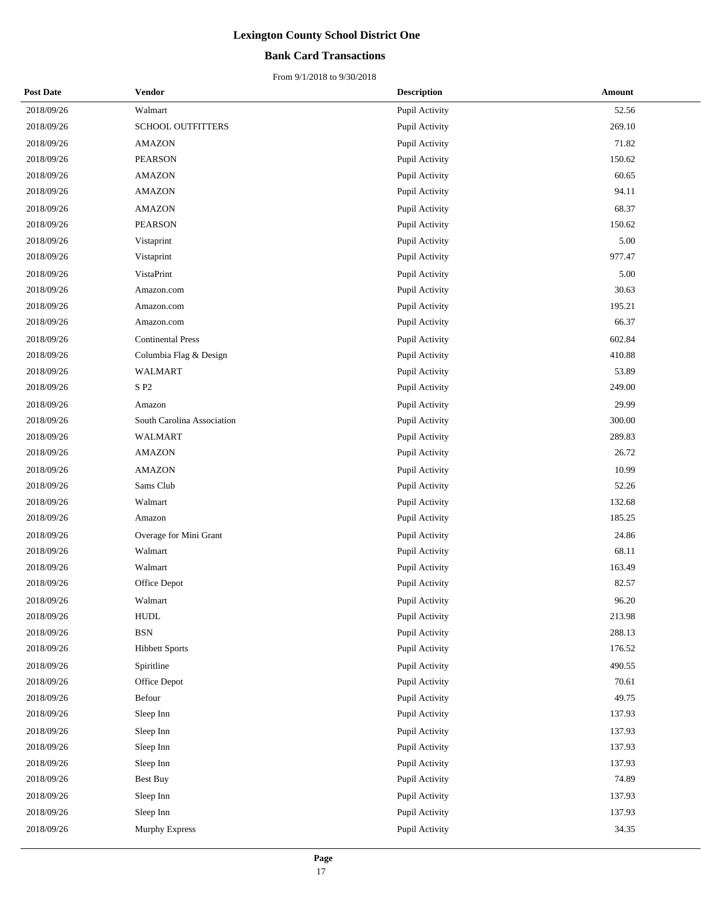## **Bank Card Transactions**

| <b>Post Date</b> | <b>Vendor</b>              | <b>Description</b> | Amount |
|------------------|----------------------------|--------------------|--------|
| 2018/09/26       | Walmart                    | Pupil Activity     | 52.56  |
| 2018/09/26       | SCHOOL OUTFITTERS          | Pupil Activity     | 269.10 |
| 2018/09/26       | <b>AMAZON</b>              | Pupil Activity     | 71.82  |
| 2018/09/26       | <b>PEARSON</b>             | Pupil Activity     | 150.62 |
| 2018/09/26       | <b>AMAZON</b>              | Pupil Activity     | 60.65  |
| 2018/09/26       | <b>AMAZON</b>              | Pupil Activity     | 94.11  |
| 2018/09/26       | <b>AMAZON</b>              | Pupil Activity     | 68.37  |
| 2018/09/26       | <b>PEARSON</b>             | Pupil Activity     | 150.62 |
| 2018/09/26       | Vistaprint                 | Pupil Activity     | 5.00   |
| 2018/09/26       | Vistaprint                 | Pupil Activity     | 977.47 |
| 2018/09/26       | VistaPrint                 | Pupil Activity     | 5.00   |
| 2018/09/26       | Amazon.com                 | Pupil Activity     | 30.63  |
| 2018/09/26       | Amazon.com                 | Pupil Activity     | 195.21 |
| 2018/09/26       | Amazon.com                 | Pupil Activity     | 66.37  |
| 2018/09/26       | <b>Continental Press</b>   | Pupil Activity     | 602.84 |
| 2018/09/26       | Columbia Flag & Design     | Pupil Activity     | 410.88 |
| 2018/09/26       | <b>WALMART</b>             | Pupil Activity     | 53.89  |
| 2018/09/26       | S P2                       | Pupil Activity     | 249.00 |
| 2018/09/26       | Amazon                     | Pupil Activity     | 29.99  |
| 2018/09/26       | South Carolina Association | Pupil Activity     | 300.00 |
| 2018/09/26       | <b>WALMART</b>             | Pupil Activity     | 289.83 |
| 2018/09/26       | <b>AMAZON</b>              | Pupil Activity     | 26.72  |
| 2018/09/26       | <b>AMAZON</b>              | Pupil Activity     | 10.99  |
| 2018/09/26       | Sams Club                  | Pupil Activity     | 52.26  |
| 2018/09/26       | Walmart                    | Pupil Activity     | 132.68 |
| 2018/09/26       | Amazon                     | Pupil Activity     | 185.25 |
| 2018/09/26       | Overage for Mini Grant     | Pupil Activity     | 24.86  |
| 2018/09/26       | Walmart                    | Pupil Activity     | 68.11  |
| 2018/09/26       | Walmart                    | Pupil Activity     | 163.49 |
| 2018/09/26       | Office Depot               | Pupil Activity     | 82.57  |
| 2018/09/26       | Walmart                    | Pupil Activity     | 96.20  |
| 2018/09/26       | <b>HUDL</b>                | Pupil Activity     | 213.98 |
| 2018/09/26       | <b>BSN</b>                 | Pupil Activity     | 288.13 |
| 2018/09/26       | <b>Hibbett Sports</b>      | Pupil Activity     | 176.52 |
| 2018/09/26       | Spiritline                 | Pupil Activity     | 490.55 |
| 2018/09/26       | Office Depot               | Pupil Activity     | 70.61  |
| 2018/09/26       | Befour                     | Pupil Activity     | 49.75  |
| 2018/09/26       | Sleep Inn                  | Pupil Activity     | 137.93 |
| 2018/09/26       | Sleep Inn                  | Pupil Activity     | 137.93 |
| 2018/09/26       | Sleep Inn                  | Pupil Activity     | 137.93 |
| 2018/09/26       | Sleep Inn                  | Pupil Activity     | 137.93 |
| 2018/09/26       | <b>Best Buy</b>            | Pupil Activity     | 74.89  |
| 2018/09/26       | Sleep Inn                  | Pupil Activity     | 137.93 |
| 2018/09/26       | Sleep Inn                  | Pupil Activity     | 137.93 |
| 2018/09/26       | Murphy Express             | Pupil Activity     | 34.35  |
|                  |                            |                    |        |